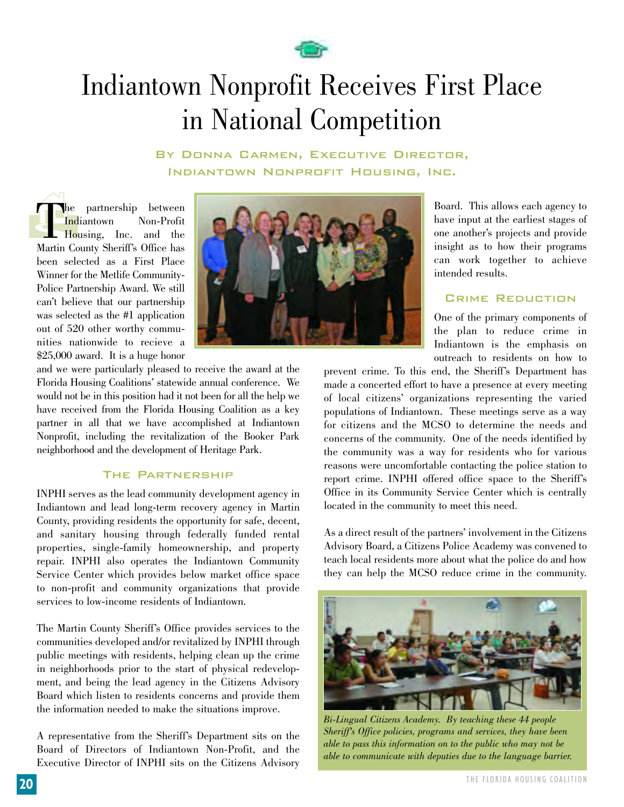

# Indiantown Nonprofit Receives First Place in National Competition

By Donna Carmen, Executive Director, Indiantown Nonprofit Housing, Inc.

Hold Hold the partnership between<br>Indiantown Non-Profit **Indiantown** Housing, Inc. and the Martin County Sheriff's Office has been selected as a First Place Winner for the Metlife Community-Police Partnership Award. We still can't believe that our partnership was selected as the #1 application out of 520 other worthy communities nationwide to recieve a \$25,000 award. It is a huge honor



and we were particularly pleased to receive the award at the Florida Housing Coalitions' statewide annual conference. We would not be in this position had it not been for all the help we have received from the Florida Housing Coalition as a key partner in all that we have accomplished at Indiantown Nonprofit, including the revitalization of the Booker Park neighborhood and the development of Heritage Park.

### The Partnership

INPHI serves as the lead community development agency in Indiantown and lead long-term recovery agency in Martin County, providing residents the opportunity for safe, decent, and sanitary housing through federally funded rental properties, single-family homeownership, and property repair. INPHI also operates the Indiantown Community Service Center which provides below market office space to non-profit and community organizations that provide services to low-income residents of Indiantown.

The Martin County Sheriff's Office provides services to the communities developed and/or revitalized by INPHI through public meetings with residents, helping clean up the crime in neighborhoods prior to the start of physical redevelopment, and being the lead agency in the Citizens Advisory Board which listen to residents concerns and provide them the information needed to make the situations improve.

A representative from the Sheriff's Department sits on the Board of Directors of Indiantown Non-Profit, and the Executive Director of INPHI sits on the Citizens Advisory

Board. This allows each agency to have input at the earliest stages of one another's projects and provide insight as to how their programs can work together to achieve intended results.

## Crime Reduction

One of the primary components of the plan to reduce crime in Indiantown is the emphasis on outreach to residents on how to

prevent crime. To this end, the Sheriff's Department has made a concerted effort to have a presence at every meeting of local citizens' organizations representing the varied populations of Indiantown. These meetings serve as a way for citizens and the MCSO to determine the needs and concerns of the community. One of the needs identified by the community was a way for residents who for various reasons were uncomfortable contacting the police station to report crime. INPHI offered office space to the Sheriff's Office in its Community Service Center which is centrally located in the community to meet this need.

As a direct result of the partners' involvement in the Citizens Advisory Board, a Citizens Police Academy was convened to teach local residents more about what the police do and how they can help the MCSO reduce crime in the community.



*Bi-Lingual Citizens Academy. By teaching these 44 people Sheriff's Office policies, programs and services, they have been able to pass this information on to the public who may not be able to communicate with deputies due to the language barrier.*